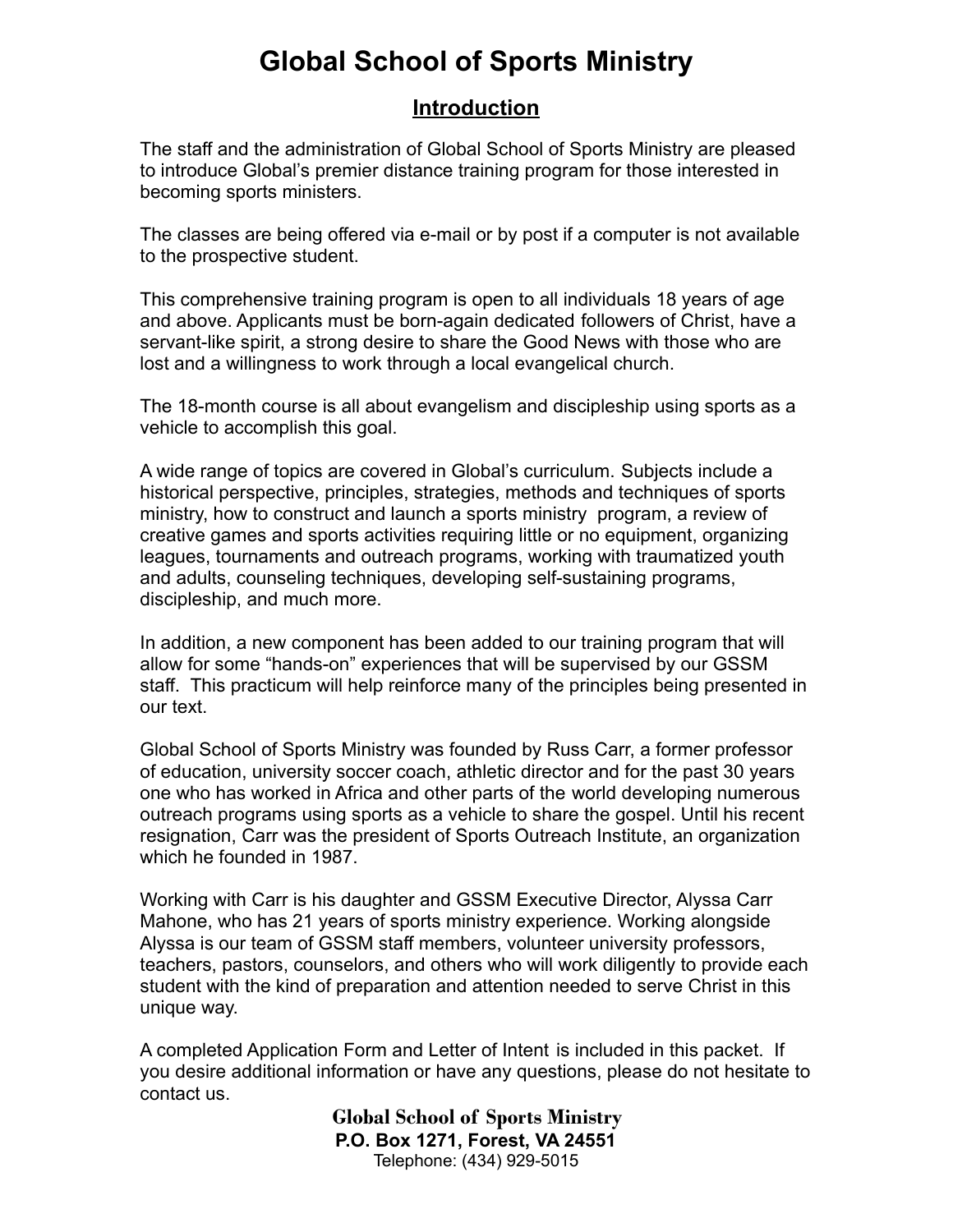## **Global School of Sports Ministry**

## **Introduction**

The staff and the administration of Global School of Sports Ministry are pleased to introduce Global's premier distance training program for those interested in becoming sports ministers.

The classes are being offered via e-mail or by post if a computer is not available to the prospective student.

This comprehensive training program is open to all individuals 18 years of age and above. Applicants must be born-again dedicated followers of Christ, have a servant-like spirit, a strong desire to share the Good News with those who are lost and a willingness to work through a local evangelical church.

The 18-month course is all about evangelism and discipleship using sports as a vehicle to accomplish this goal.

A wide range of topics are covered in Global's curriculum. Subjects include a historical perspective, principles, strategies, methods and techniques of sports ministry, how to construct and launch a sports ministry program, a review of creative games and sports activities requiring little or no equipment, organizing leagues, tournaments and outreach programs, working with traumatized youth and adults, counseling techniques, developing self-sustaining programs, discipleship, and much more.

In addition, a new component has been added to our training program that will allow for some "hands-on" experiences that will be supervised by our GSSM staff. This practicum will help reinforce many of the principles being presented in our text.

Global School of Sports Ministry was founded by Russ Carr, a former professor of education, university soccer coach, athletic director and for the past 30 years one who has worked in Africa and other parts of the world developing numerous outreach programs using sports as a vehicle to share the gospel. Until his recent resignation, Carr was the president of Sports Outreach Institute, an organization which he founded in 1987.

Working with Carr is his daughter and GSSM Executive Director, Alyssa Carr Mahone, who has 21 years of sports ministry experience. Working alongside Alyssa is our team of GSSM staff members, volunteer university professors, teachers, pastors, counselors, and others who will work diligently to provide each student with the kind of preparation and attention needed to serve Christ in this unique way.

A completed Application Form and Letter of Intent is included in this packet. If you desire additional information or have any questions, please do not hesitate to contact us.

> **Global School of Sports Ministry P.O. Box 1271, Forest, VA 24551** Telephone: (434) 929-5015